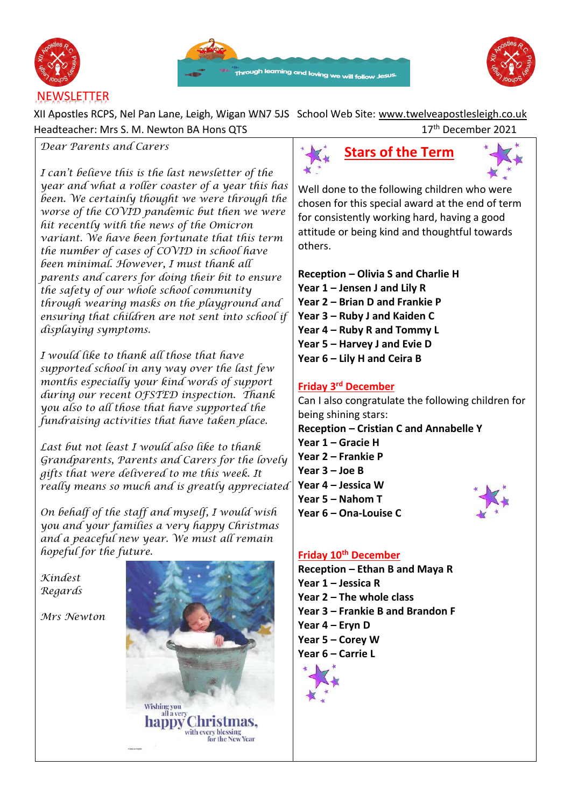





XII Apostles RCPS, Nel Pan Lane, Leigh, Wigan WN7 5JS School Web Site: [www.twelveapostlesleigh.co.uk](http://www.twelveapostlesleigh.co.uk/)  Headteacher: Mrs S. M. Newton BA Hons QTS 17 17<sup>th</sup> December 2021

### *Dear Parents and Carers*

*I can't believe this is the last newsletter of the year and what a roller coaster of a year this has been. We certainly thought we were through the worse of the COVID pandemic but then we were hit recently with the news of the Omicron variant. We have been fortunate that this term the number of cases of COVID in school have been minimal. However, I must thank all parents and carers for doing their bit to ensure the safety of our whole school community through wearing masks on the playground and ensuring that children are not sent into school if displaying symptoms.* 

*I would like to thank all those that have supported school in any way over the last few months especially your kind words of support during our recent OFSTED inspection. Thank you also to all those that have supported the fundraising activities that have taken place.* 

*Last but not least I would also like to thank Grandparents, Parents and Carers for the lovely gifts that were delivered to me this week. It really means so much and is greatly appreciated* 

*On behalf of the staff and myself, I would wish you and your families a very happy Christmas and a peaceful new year. We must all remain hopeful for the future.* 

*Kindest Regards* 

*Mrs Newton* 







Well done to the following children who were chosen for this special award at the end of term for consistently working hard, having a good attitude or being kind and thoughtful towards others.

**Reception – Olivia S and Charlie H Year 1 – Jensen J and Lily R Year 2 – Brian D and Frankie P Year 3 – Ruby J and Kaiden C Year 4 – Ruby R and Tommy L Year 5 – Harvey J and Evie D Year 6 – Lily H and Ceira B**

## **Friday 3rd December**

Can I also congratulate the following children for being shining stars: **Reception – Cristian C and Annabelle Y Year 1 – Gracie H Year 2 – Frankie P Year 3 – Joe B Year 4 – Jessica W Year 5 – Nahom T Year 6 – Ona-Louise C**

## **Friday 10th December**

**Reception – Ethan B and Maya R Year 1 – Jessica R Year 2 – The whole class Year 3 – Frankie B and Brandon F Year 4 – Eryn D Year 5 – Corey W Year 6 – Carrie L**

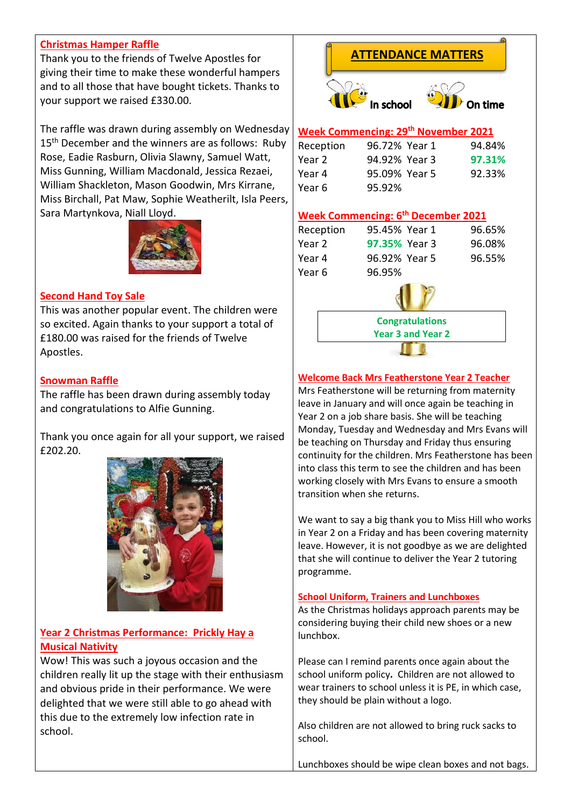## **Christmas Hamper Raffle**

Thank you to the friends of Twelve Apostles for giving their time to make these wonderful hampers and to all those that have bought tickets. Thanks to your support we raised £330.00.

The raffle was drawn during assembly on Wednesday 15<sup>th</sup> December and the winners are as follows: Ruby Rose, Eadie Rasburn, Olivia Slawny, Samuel Watt, Miss Gunning, William Macdonald, Jessica Rezaei, William Shackleton, Mason Goodwin, Mrs Kirrane, Miss Birchall, Pat Maw, Sophie Weatherilt, Isla Peers, Sara Martynkova, Niall Lloyd.



#### **Second Hand Toy Sale**

This was another popular event. The children were so excited. Again thanks to your support a total of £180.00 was raised for the friends of Twelve Apostles.

#### **Snowman Raffle**

The raffle has been drawn during assembly today and congratulations to Alfie Gunning.

Thank you once again for all your support, we raised £202.20.



## **Year 2 Christmas Performance: Prickly Hay a Musical Nativity**

Wow! This was such a joyous occasion and the children really lit up the stage with their enthusiasm and obvious pride in their performance. We were delighted that we were still able to go ahead with this due to the extremely low infection rate in school.

## **ATTENDANCE MATTERS**





## **Week Commencing: 29th November 2021**

| Reception | 96.72% Year 1 | 94.84% |
|-----------|---------------|--------|
| Year 2    | 94.92% Year 3 | 97.31% |
| Year 4    | 95.09% Year 5 | 92.33% |
| Year 6    | 95.92%        |        |

#### **Week Commencing: 6 th December 2021**

| Reception | 95.45% Year 1        | 96.65% |
|-----------|----------------------|--------|
| Year 2    | <b>97.35% Year 3</b> | 96.08% |
| Year 4    | 96.92% Year 5        | 96.55% |
| Year 6    | 96.95%               |        |
|           |                      |        |



**Year 3 and Year 2**

**Welcome Back Mrs Featherstone Year 2 Teacher** 

Mrs Featherstone will be returning from maternity leave in January and will once again be teaching in Year 2 on a job share basis. She will be teaching Monday, Tuesday and Wednesday and Mrs Evans will be teaching on Thursday and Friday thus ensuring continuity for the children. Mrs Featherstone has been into class this term to see the children and has been working closely with Mrs Evans to ensure a smooth transition when she returns.

We want to say a big thank you to Miss Hill who works in Year 2 on a Friday and has been covering maternity leave. However, it is not goodbye as we are delighted that she will continue to deliver the Year 2 tutoring programme.

#### **School Uniform, Trainers and Lunchboxes**

As the Christmas holidays approach parents may be considering buying their child new shoes or a new lunchbox.

Please can I remind parents once again about the school uniform policy**.** Children are not allowed to wear trainers to school unless it is PE, in which case, they should be plain without a logo.

Also children are not allowed to bring ruck sacks to school.

Lunchboxes should be wipe clean boxes and not bags.